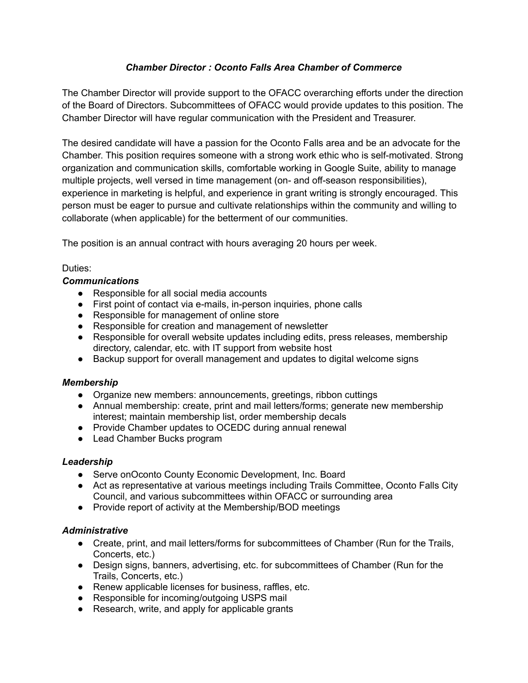# *Chamber Director : Oconto Falls Area Chamber of Commerce*

The Chamber Director will provide support to the OFACC overarching efforts under the direction of the Board of Directors. Subcommittees of OFACC would provide updates to this position. The Chamber Director will have regular communication with the President and Treasurer.

The desired candidate will have a passion for the Oconto Falls area and be an advocate for the Chamber. This position requires someone with a strong work ethic who is self-motivated. Strong organization and communication skills, comfortable working in Google Suite, ability to manage multiple projects, well versed in time management (on- and off-season responsibilities), experience in marketing is helpful, and experience in grant writing is strongly encouraged. This person must be eager to pursue and cultivate relationships within the community and willing to collaborate (when applicable) for the betterment of our communities.

The position is an annual contract with hours averaging 20 hours per week.

# Duties:

# *Communications*

- Responsible for all social media accounts
- First point of contact via e-mails, in-person inquiries, phone calls
- Responsible for management of online store
- Responsible for creation and management of newsletter
- Responsible for overall website updates including edits, press releases, membership directory, calendar, etc. with IT support from website host
- Backup support for overall management and updates to digital welcome signs

### *Membership*

- Organize new members: announcements, greetings, ribbon cuttings
- Annual membership: create, print and mail letters/forms; generate new membership interest; maintain membership list, order membership decals
- Provide Chamber updates to OCEDC during annual renewal
- Lead Chamber Bucks program

### *Leadership*

- Serve onOconto County Economic Development, Inc. Board
- Act as representative at various meetings including Trails Committee, Oconto Falls City Council, and various subcommittees within OFACC or surrounding area
- Provide report of activity at the Membership/BOD meetings

### *Administrative*

- Create, print, and mail letters/forms for subcommittees of Chamber (Run for the Trails, Concerts, etc.)
- Design signs, banners, advertising, etc. for subcommittees of Chamber (Run for the Trails, Concerts, etc.)
- Renew applicable licenses for business, raffles, etc.
- Responsible for incoming/outgoing USPS mail
- Research, write, and apply for applicable grants